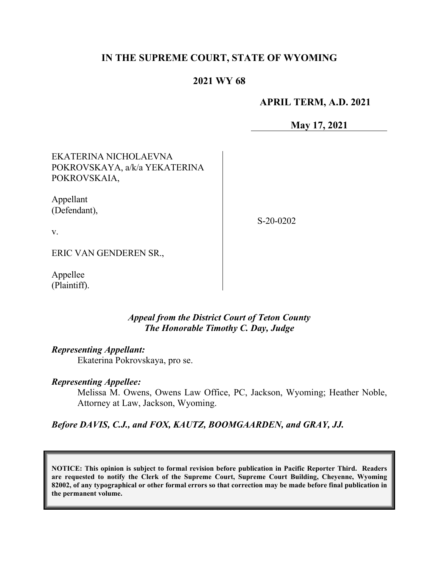# **IN THE SUPREME COURT, STATE OF WYOMING**

# **2021 WY 68**

## **APRIL TERM, A.D. 2021**

**May 17, 2021**

EKATERINA NICHOLAEVNA POKROVSKAYA, a/k/a YEKATERINA POKROVSKAIA,

Appellant (Defendant),

S-20-0202

v.

ERIC VAN GENDEREN SR.,

Appellee (Plaintiff).

### *Appeal from the District Court of Teton County The Honorable Timothy C. Day, Judge*

*Representing Appellant:*

Ekaterina Pokrovskaya, pro se.

### *Representing Appellee:*

Melissa M. Owens, Owens Law Office, PC, Jackson, Wyoming; Heather Noble, Attorney at Law, Jackson, Wyoming.

*Before DAVIS, C.J., and FOX, KAUTZ, BOOMGAARDEN, and GRAY, JJ.*

**NOTICE: This opinion is subject to formal revision before publication in Pacific Reporter Third. Readers are requested to notify the Clerk of the Supreme Court, Supreme Court Building, Cheyenne, Wyoming 82002, of any typographical or other formal errors so that correction may be made before final publication in the permanent volume.**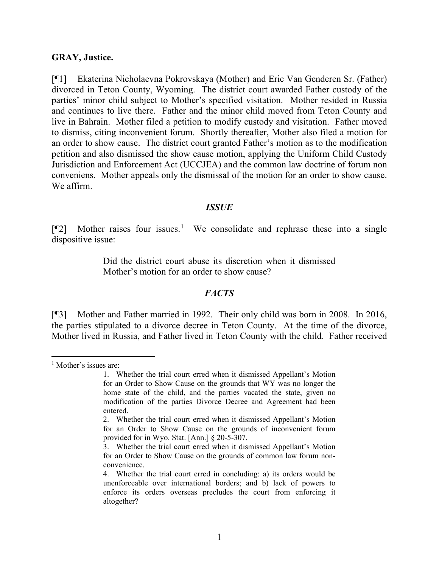#### **GRAY, Justice.**

[¶1] Ekaterina Nicholaevna Pokrovskaya (Mother) and Eric Van Genderen Sr. (Father) divorced in Teton County, Wyoming. The district court awarded Father custody of the parties' minor child subject to Mother's specified visitation. Mother resided in Russia and continues to live there. Father and the minor child moved from Teton County and live in Bahrain. Mother filed a petition to modify custody and visitation. Father moved to dismiss, citing inconvenient forum. Shortly thereafter, Mother also filed a motion for an order to show cause. The district court granted Father's motion as to the modification petition and also dismissed the show cause motion, applying the Uniform Child Custody Jurisdiction and Enforcement Act (UCCJEA) and the common law doctrine of forum non conveniens. Mother appeals only the dismissal of the motion for an order to show cause. We affirm.

#### *ISSUE*

[¶2] Mother raises four issues. [1](#page-1-0) We consolidate and rephrase these into a single dispositive issue:

> Did the district court abuse its discretion when it dismissed Mother's motion for an order to show cause?

#### *FACTS*

[¶3] Mother and Father married in 1992. Their only child was born in 2008. In 2016, the parties stipulated to a divorce decree in Teton County. At the time of the divorce, Mother lived in Russia, and Father lived in Teton County with the child. Father received

<span id="page-1-0"></span><sup>&</sup>lt;sup>1</sup> Mother's issues are:

<sup>1.</sup> Whether the trial court erred when it dismissed Appellant's Motion for an Order to Show Cause on the grounds that WY was no longer the home state of the child, and the parties vacated the state, given no modification of the parties Divorce Decree and Agreement had been entered.

<sup>2.</sup> Whether the trial court erred when it dismissed Appellant's Motion for an Order to Show Cause on the grounds of inconvenient forum provided for in Wyo. Stat. [Ann.] § 20-5-307.

<sup>3.</sup> Whether the trial court erred when it dismissed Appellant's Motion for an Order to Show Cause on the grounds of common law forum nonconvenience.

<sup>4.</sup> Whether the trial court erred in concluding: a) its orders would be unenforceable over international borders; and b) lack of powers to enforce its orders overseas precludes the court from enforcing it altogether?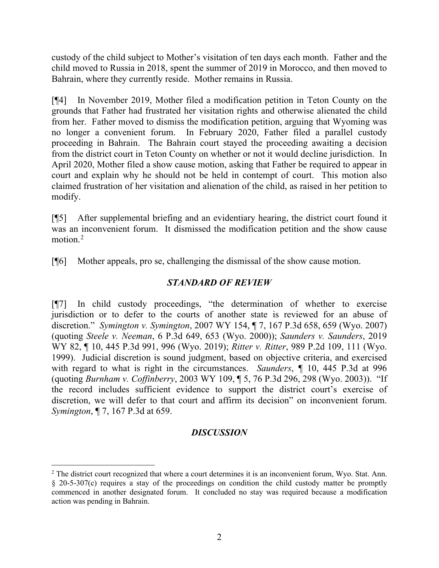custody of the child subject to Mother's visitation of ten days each month. Father and the child moved to Russia in 2018, spent the summer of 2019 in Morocco, and then moved to Bahrain, where they currently reside. Mother remains in Russia.

[¶4] In November 2019, Mother filed a modification petition in Teton County on the grounds that Father had frustrated her visitation rights and otherwise alienated the child from her. Father moved to dismiss the modification petition, arguing that Wyoming was no longer a convenient forum. In February 2020, Father filed a parallel custody proceeding in Bahrain. The Bahrain court stayed the proceeding awaiting a decision from the district court in Teton County on whether or not it would decline jurisdiction. In April 2020, Mother filed a show cause motion, asking that Father be required to appear in court and explain why he should not be held in contempt of court. This motion also claimed frustration of her visitation and alienation of the child, as raised in her petition to modify.

[¶5] After supplemental briefing and an evidentiary hearing, the district court found it was an inconvenient forum. It dismissed the modification petition and the show cause motion. [2](#page-2-0)

[¶6] Mother appeals, pro se, challenging the dismissal of the show cause motion.

# *STANDARD OF REVIEW*

[¶7] In child custody proceedings, "the determination of whether to exercise jurisdiction or to defer to the courts of another state is reviewed for an abuse of discretion." *Symington v. Symington*, 2007 WY 154, ¶ 7, 167 P.3d 658, 659 (Wyo. 2007) (quoting *Steele v. Neeman*, 6 P.3d 649, 653 (Wyo. 2000)); *Saunders v. Saunders*, 2019 WY 82, ¶ 10, 445 P.3d 991, 996 (Wyo. 2019); *Ritter v. Ritter*, 989 P.2d 109, 111 (Wyo. 1999). Judicial discretion is sound judgment, based on objective criteria, and exercised with regard to what is right in the circumstances. *Saunders*, *¶* 10, 445 P.3d at 996 (quoting *Burnham v. Coffinberry*, 2003 WY 109, ¶ 5, 76 P.3d 296, 298 (Wyo. 2003)). "If the record includes sufficient evidence to support the district court's exercise of discretion, we will defer to that court and affirm its decision" on inconvenient forum. *Symington*, ¶ 7, 167 P.3d at 659.

## *DISCUSSION*

<span id="page-2-0"></span><sup>&</sup>lt;sup>2</sup> The district court recognized that where a court determines it is an inconvenient forum, Wyo. Stat. Ann. § 20-5-307(c) requires a stay of the proceedings on condition the child custody matter be promptly commenced in another designated forum. It concluded no stay was required because a modification action was pending in Bahrain.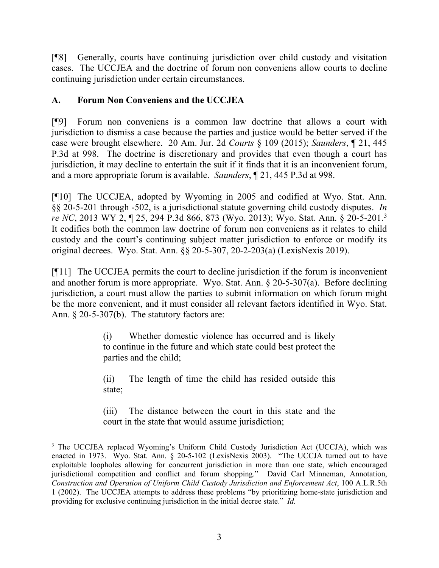[¶8] Generally, courts have continuing jurisdiction over child custody and visitation cases. The UCCJEA and the doctrine of forum non conveniens allow courts to decline continuing jurisdiction under certain circumstances.

# **A. Forum Non Conveniens and the UCCJEA**

[¶9] Forum non conveniens is a common law doctrine that allows a court with jurisdiction to dismiss a case because the parties and justice would be better served if the case were brought elsewhere. 20 Am. Jur. 2d *Courts* § 109 (2015); *Saunders*, ¶ 21, 445 P.3d at 998. The doctrine is discretionary and provides that even though a court has jurisdiction, it may decline to entertain the suit if it finds that it is an inconvenient forum, and a more appropriate forum is available. *Saunders*, ¶ 21, 445 P.3d at 998.

[¶10] The UCCJEA, adopted by Wyoming in 2005 and codified at Wyo. Stat. Ann. §§ 20-5-201 through -502, is a jurisdictional statute governing child custody disputes. *In re NC*, 2013 WY 2, ¶ 25, 294 P.3d 866, 873 (Wyo. 2013); Wyo. Stat. Ann. § 20-5-201.[3](#page-3-0) It codifies both the common law doctrine of forum non conveniens as it relates to child custody and the court's continuing subject matter jurisdiction to enforce or modify its original decrees. Wyo. Stat. Ann. §§ 20-5-307, 20-2-203(a) (LexisNexis 2019).

[¶11] The UCCJEA permits the court to decline jurisdiction if the forum is inconvenient and another forum is more appropriate. Wyo. Stat. Ann. § 20-5-307(a). Before declining jurisdiction, a court must allow the parties to submit information on which forum might be the more convenient, and it must consider all relevant factors identified in Wyo. Stat. Ann. § 20-5-307(b). The statutory factors are:

> (i) Whether domestic violence has occurred and is likely to continue in the future and which state could best protect the parties and the child;

> (ii) The length of time the child has resided outside this state;

> (iii) The distance between the court in this state and the court in the state that would assume jurisdiction;

<span id="page-3-0"></span><sup>&</sup>lt;sup>3</sup> The UCCJEA replaced Wyoming's Uniform Child Custody Jurisdiction Act (UCCJA), which was enacted in 1973. Wyo. Stat. Ann. § 20-5-102 (LexisNexis 2003). "The UCCJA turned out to have exploitable loopholes allowing for concurrent jurisdiction in more than one state, which encouraged jurisdictional competition and conflict and forum shopping." David Carl Minneman, Annotation, *Construction and Operation of Uniform Child Custody Jurisdiction and Enforcement Act*, 100 A.L.R.5th 1 (2002). The UCCJEA attempts to address these problems "by prioritizing home-state jurisdiction and providing for exclusive continuing jurisdiction in the initial decree state." *Id.*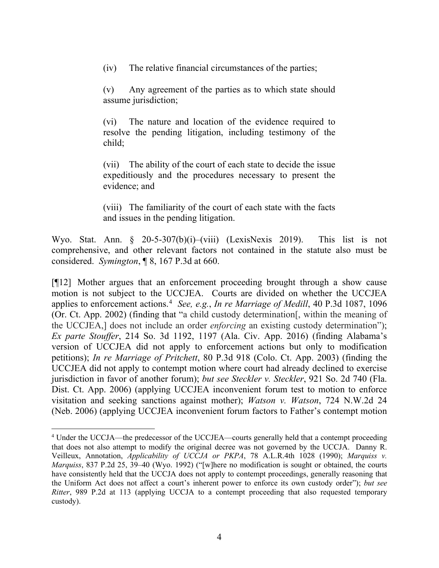(iv) The relative financial circumstances of the parties;

(v) Any agreement of the parties as to which state should assume jurisdiction;

(vi) The nature and location of the evidence required to resolve the pending litigation, including testimony of the child;

(vii) The ability of the court of each state to decide the issue expeditiously and the procedures necessary to present the evidence; and

(viii) The familiarity of the court of each state with the facts and issues in the pending litigation.

Wyo. Stat. Ann. § 20-5-307(b)(i)–(viii) (LexisNexis 2019). This list is not comprehensive, and other relevant factors not contained in the statute also must be considered. *Symington*, ¶ 8, 167 P.3d at 660.

[¶12] Mother argues that an enforcement proceeding brought through a show cause motion is not subject to the UCCJEA. Courts are divided on whether the UCCJEA applies to enforcement actions.<sup>[4](#page-4-0)</sup> See, e.g., In re Marriage of Medill, 40 P.3d 1087, 1096 (Or. Ct. App. 2002) (finding that "a child custody determination[, within the meaning of the UCCJEA,] does not include an order *enforcing* an existing custody determination"); *Ex parte Stouffer*, 214 So. 3d 1192, 1197 (Ala. Civ. App. 2016) (finding Alabama's version of UCCJEA did not apply to enforcement actions but only to modification petitions); *In re Marriage of Pritchett*, 80 P.3d 918 (Colo. Ct. App. 2003) (finding the UCCJEA did not apply to contempt motion where court had already declined to exercise jurisdiction in favor of another forum); *but see Steckler v. Steckler*, 921 So. 2d 740 (Fla. Dist. Ct. App. 2006) (applying UCCJEA inconvenient forum test to motion to enforce visitation and seeking sanctions against mother); *Watson v. Watson*, 724 N.W.2d 24 (Neb. 2006) (applying UCCJEA inconvenient forum factors to Father's contempt motion

<span id="page-4-0"></span><sup>4</sup> Under the UCCJA—the predecessor of the UCCJEA—courts generally held that a contempt proceeding that does not also attempt to modify the original decree was not governed by the UCCJA. Danny R. Veilleux, Annotation, *Applicability of UCCJA or PKPA*, 78 A.L.R.4th 1028 (1990); *Marquiss v. Marquiss*, 837 P.2d 25, 39–40 (Wyo. 1992) ("[w]here no modification is sought or obtained, the courts have consistently held that the UCCJA does not apply to contempt proceedings, generally reasoning that the Uniform Act does not affect a court's inherent power to enforce its own custody order"); *but see Ritter*, 989 P.2d at 113 (applying UCCJA to a contempt proceeding that also requested temporary custody).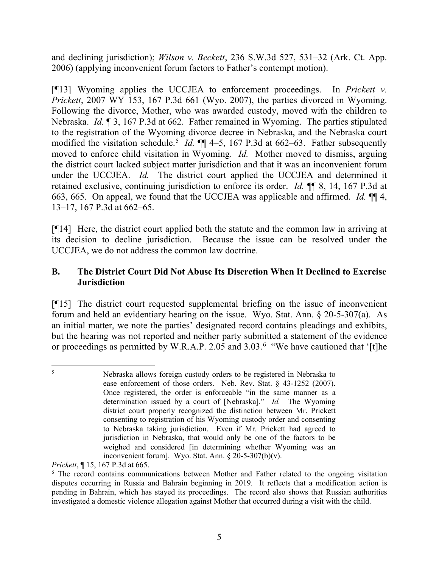and declining jurisdiction); *Wilson v. Beckett*, 236 S.W.3d 527, 531–32 (Ark. Ct. App. 2006) (applying inconvenient forum factors to Father's contempt motion).

[¶13] Wyoming applies the UCCJEA to enforcement proceedings. In *Prickett v. Prickett*, 2007 WY 153, 167 P.3d 661 (Wyo. 2007), the parties divorced in Wyoming. Following the divorce, Mother, who was awarded custody, moved with the children to Nebraska. *Id.* ¶ 3, 167 P.3d at 662. Father remained in Wyoming. The parties stipulated to the registration of the Wyoming divorce decree in Nebraska, and the Nebraska court modified the visitation schedule.<sup>[5](#page-5-0)</sup> *Id.* **¶** 4–5, 167 P.3d at 662–63. Father subsequently moved to enforce child visitation in Wyoming. *Id.* Mother moved to dismiss, arguing the district court lacked subject matter jurisdiction and that it was an inconvenient forum under the UCCJEA. *Id.* The district court applied the UCCJEA and determined it retained exclusive, continuing jurisdiction to enforce its order. *Id.* ¶¶ 8, 14, 167 P.3d at 663, 665. On appeal, we found that the UCCJEA was applicable and affirmed. *Id.* ¶¶ 4, 13–17, 167 P.3d at 662–65.

[¶14] Here, the district court applied both the statute and the common law in arriving at its decision to decline jurisdiction. Because the issue can be resolved under the UCCJEA, we do not address the common law doctrine.

# **B. The District Court Did Not Abuse Its Discretion When It Declined to Exercise Jurisdiction**

[¶15] The district court requested supplemental briefing on the issue of inconvenient forum and held an evidentiary hearing on the issue. Wyo. Stat. Ann. § 20-5-307(a). As an initial matter, we note the parties' designated record contains pleadings and exhibits, but the hearing was not reported and neither party submitted a statement of the evidence or proceedings as permitted by W.R.A.P. 2.05 and 3.03.[6](#page-5-1) "We have cautioned that '[t]he

<span id="page-5-0"></span><sup>5</sup> Nebraska allows foreign custody orders to be registered in Nebraska to ease enforcement of those orders. Neb. Rev. Stat. § 43-1252 (2007). Once registered, the order is enforceable "in the same manner as a determination issued by a court of [Nebraska]." *Id.* The Wyoming district court properly recognized the distinction between Mr. Prickett consenting to registration of his Wyoming custody order and consenting to Nebraska taking jurisdiction. Even if Mr. Prickett had agreed to jurisdiction in Nebraska, that would only be one of the factors to be weighed and considered [in determining whether Wyoming was an inconvenient forum]. Wyo. Stat. Ann. § 20-5-307(b)(v).

*Prickett*, ¶ 15, 167 P.3d at 665.

<span id="page-5-1"></span><sup>6</sup> The record contains communications between Mother and Father related to the ongoing visitation disputes occurring in Russia and Bahrain beginning in 2019. It reflects that a modification action is pending in Bahrain, which has stayed its proceedings. The record also shows that Russian authorities investigated a domestic violence allegation against Mother that occurred during a visit with the child.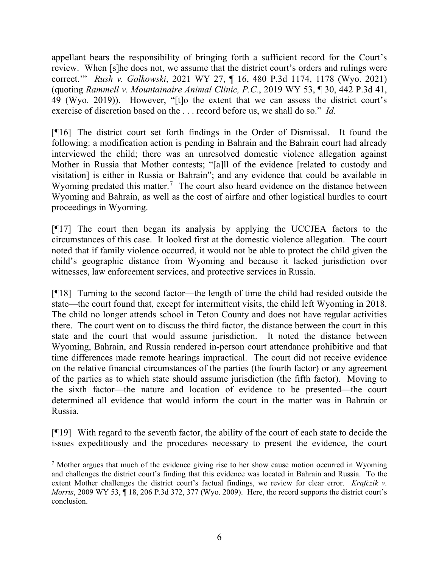appellant bears the responsibility of bringing forth a sufficient record for the Court's review. When [s]he does not, we assume that the district court's orders and rulings were correct.'" *Rush v. Golkowski*, 2021 WY 27, ¶ 16, 480 P.3d 1174, 1178 (Wyo. 2021) (quoting *Rammell v. Mountainaire Animal Clinic, P.C.*, 2019 WY 53, ¶ 30, 442 P.3d 41, 49 (Wyo. 2019)). However, "[t]o the extent that we can assess the district court's exercise of discretion based on the . . . record before us, we shall do so." *Id.*

[¶16] The district court set forth findings in the Order of Dismissal. It found the following: a modification action is pending in Bahrain and the Bahrain court had already interviewed the child; there was an unresolved domestic violence allegation against Mother in Russia that Mother contests; "[a]ll of the evidence [related to custody and visitation] is either in Russia or Bahrain"; and any evidence that could be available in Wyoming predated this matter.<sup>[7](#page-6-0)</sup> The court also heard evidence on the distance between Wyoming and Bahrain, as well as the cost of airfare and other logistical hurdles to court proceedings in Wyoming.

[¶17] The court then began its analysis by applying the UCCJEA factors to the circumstances of this case. It looked first at the domestic violence allegation. The court noted that if family violence occurred, it would not be able to protect the child given the child's geographic distance from Wyoming and because it lacked jurisdiction over witnesses, law enforcement services, and protective services in Russia.

[¶18] Turning to the second factor—the length of time the child had resided outside the state—the court found that, except for intermittent visits, the child left Wyoming in 2018. The child no longer attends school in Teton County and does not have regular activities there. The court went on to discuss the third factor, the distance between the court in this state and the court that would assume jurisdiction. It noted the distance between Wyoming, Bahrain, and Russia rendered in-person court attendance prohibitive and that time differences made remote hearings impractical. The court did not receive evidence on the relative financial circumstances of the parties (the fourth factor) or any agreement of the parties as to which state should assume jurisdiction (the fifth factor). Moving to the sixth factor—the nature and location of evidence to be presented—the court determined all evidence that would inform the court in the matter was in Bahrain or Russia.

[¶19] With regard to the seventh factor, the ability of the court of each state to decide the issues expeditiously and the procedures necessary to present the evidence, the court

<span id="page-6-0"></span><sup>&</sup>lt;sup>7</sup> Mother argues that much of the evidence giving rise to her show cause motion occurred in Wyoming and challenges the district court's finding that this evidence was located in Bahrain and Russia. To the extent Mother challenges the district court's factual findings, we review for clear error. *Krafczik v. Morris*, 2009 WY 53, ¶ 18, 206 P.3d 372, 377 (Wyo. 2009). Here, the record supports the district court's conclusion.